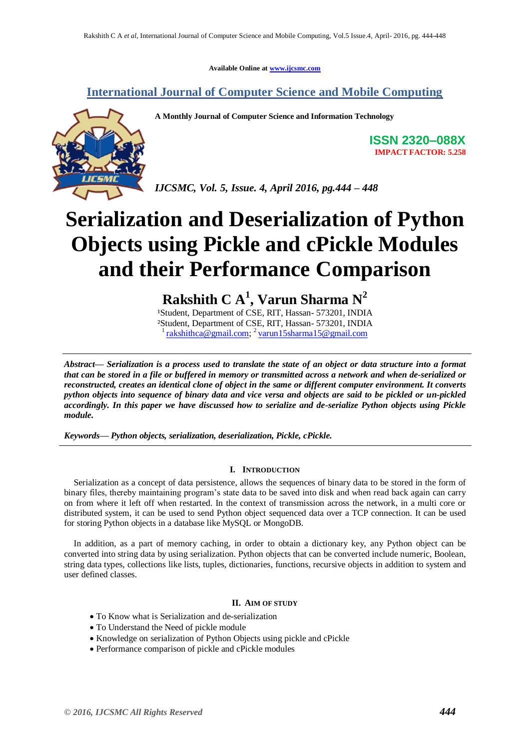**Available Online at [www.ijcsmc.com](http://www.ijcsmc.com/)**

# **International Journal of Computer Science and Mobile Computing**



**A Monthly Journal of Computer Science and Information Technology**

**ISSN 2320–088X IMPACT FACTOR: 5.258**

*IJCSMC, Vol. 5, Issue. 4, April 2016, pg.444 – 448*

# **Serialization and Deserialization of Python Objects using Pickle and cPickle Modules and their Performance Comparison**

**Rakshith C A<sup>1</sup> , Varun Sharma N<sup>2</sup>**

<sup>1</sup>Student, Department of CSE, RIT, Hassan- 573201, INDIA ²Student, Department of CSE, RIT, Hassan- 573201, INDIA <sup>1</sup> [rakshithca@gmail.com;](mailto:rakshithca@gmail.com) <sup>2</sup> yarun15sharma15@gmail.com

*Abstract— Serialization is a process used to translate the state of an object or data structure into a format that can be stored in a file or buffered in memory or transmitted across a network and when de-serialized or reconstructed, creates an identical clone of object in the same or different computer environment. It converts python objects into sequence of binary data and vice versa and objects are said to be pickled or un-pickled accordingly. In this paper we have discussed how to serialize and de-serialize Python objects using Pickle module.*

*Keywords— Python objects, serialization, deserialization, Pickle, cPickle.*

### **I. INTRODUCTION**

Serialization as a concept of data persistence, allows the sequences of binary data to be stored in the form of binary files, thereby maintaining program's state data to be saved into disk and when read back again can carry on from where it left off when restarted. In the context of transmission across the network, in a multi core or distributed system, it can be used to send Python object sequenced data over a TCP connection. It can be used for storing Python objects in a database like MySQL or MongoDB.

In addition, as a part of memory caching, in order to obtain a dictionary key, any Python object can be converted into string data by using serialization. Python objects that can be converted include numeric, Boolean, string data types, collections like lists, tuples, dictionaries, functions, recursive objects in addition to system and user defined classes.

# **II. AIM OF STUDY**

- To Know what is Serialization and de-serialization
- To Understand the Need of pickle module
- Knowledge on serialization of Python Objects using pickle and cPickle
- Performance comparison of pickle and cPickle modules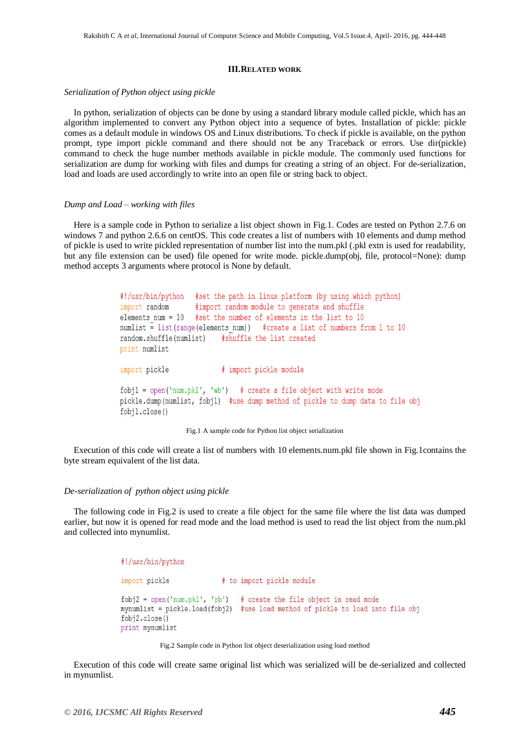#### **III.RELATED WORK**

*Serialization of Python object using pickle*

In python, serialization of objects can be done by using a standard library module called pickle, which has an algorithm implemented to convert any Python object into a sequence of bytes. Installation of pickle: pickle comes as a default module in windows OS and Linux distributions. To check if pickle is available, on the python prompt, type import pickle command and there should not be any Traceback or errors. Use dir(pickle) command to check the huge number methods available in pickle module. The commonly used functions for serialization are dump for working with files and dumps for creating a string of an object. For de-serialization, load and loads are used accordingly to write into an open file or string back to object.

#### *Dump and Load – working with files*

Here is a sample code in Python to serialize a list object shown in Fig.1. Codes are tested on Python 2.7.6 on windows 7 and python 2.6.6 on centOS. This code creates a list of numbers with 10 elements and dump method of pickle is used to write pickled representation of number list into the num.pkl (.pkl extn is used for readability, but any file extension can be used) file opened for write mode. pickle.dump(obj, file, protocol=None): dump method accepts 3 arguments where protocol is None by default.

```
#!/usr/bin/python #set the path in linux platform (by using which python)
                   #import random module to generate and shuffle
import random
elements num = 10 #set the number of elements in the list to 10numlist \frac{1}{2} list(range(elements num)) #create a list of numbers from 1 to 10
random.shuffle(numlist) #shuffle the list created
print numlist
                         # import pickle module
import pickle
fobj1 = open('num.pk1', 'wb') # create a file object with write mode
pickle.dump(numlist, fobjl) #use dump method of pickle to dump data to file obj
fobj1.close()
```
#### Fig.1 A sample code for Python list object serialization

Execution of this code will create a list of numbers with 10 elements.num.pkl file shown in Fig.1contains the byte stream equivalent of the list data.

#### *De-serialization of python object using pickle*

The following code in Fig.2 is used to create a file object for the same file where the list data was dumped earlier, but now it is opened for read mode and the load method is used to read the list object from the num.pkl and collected into mynumlist.

```
#!/usr/bin/python
import pickle
                        # to import pickle module
fobj2 = open('num.pk1', 'rb') # create the file object in read mode
mynumlist = pickle.load(fobj2) #use load method of pickle to load into file obj
fobj2.close()
print mynumlist
```


Execution of this code will create same original list which was serialized will be de-serialized and collected in mynumlist.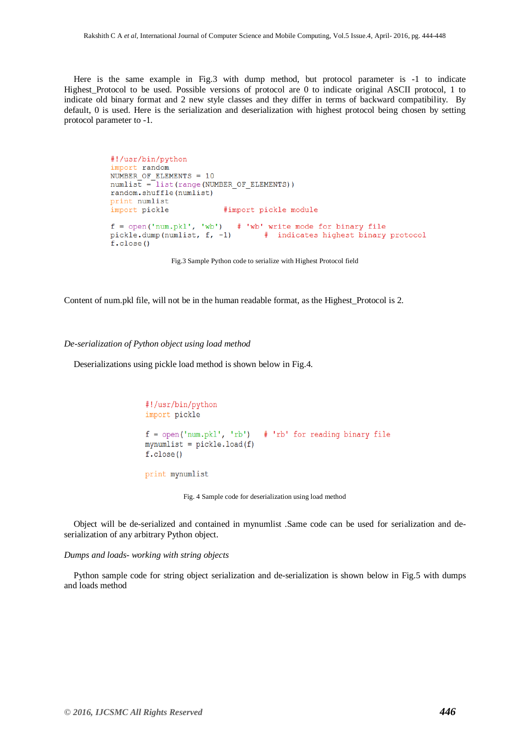Here is the same example in Fig.3 with dump method, but protocol parameter is -1 to indicate Highest Protocol to be used. Possible versions of protocol are 0 to indicate original ASCII protocol, 1 to indicate old binary format and 2 new style classes and they differ in terms of backward compatibility. By default, 0 is used. Here is the serialization and deserialization with highest protocol being chosen by setting protocol parameter to -1.

```
#!/usr/bin/python
import random
NUMBER OF ELEMENTS = 10
numlist = list(range(NUMBER OF ELEMENTS))random.shuffle(numlist)
print numlist
import pickle
                        #import pickle module
f = open('num.pkl', 'wb') # 'wb' write mode for binary file
pickle.dump(numlist, f, -1)
                           # indicates highest binary protocol
f.close()
```
Fig.3 Sample Python code to serialize with Highest Protocol field

Content of num.pkl file, will not be in the human readable format, as the Highest\_Protocol is 2.

#### *De-serialization of Python object using load method*

Deserializations using pickle load method is shown below in Fig.4.

```
#!/usr/bin/python
import pickle
f = open('num.pk1', 'rb') # 'rb' for reading binary file
mynumlist = picture.load(f)f.close()print mynumlist
```
Fig. 4 Sample code for deserialization using load method

Object will be de-serialized and contained in mynumlist .Same code can be used for serialization and deserialization of any arbitrary Python object.

*Dumps and loads- working with string objects*

Python sample code for string object serialization and de-serialization is shown below in Fig.5 with dumps and loads method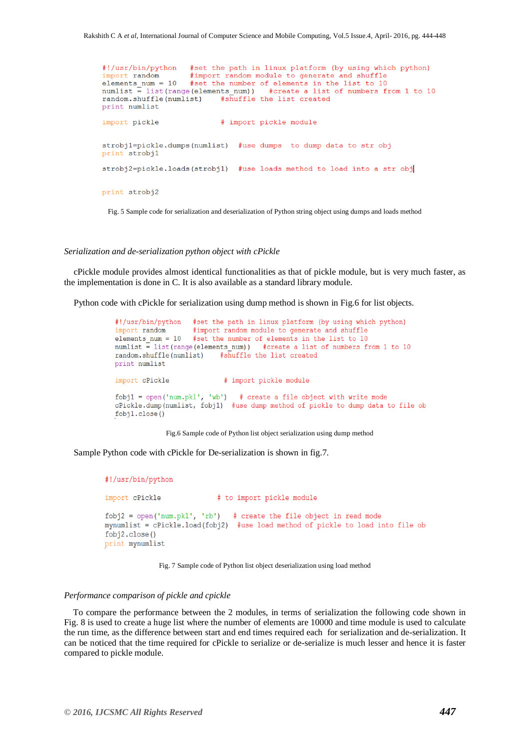#!/usr/bin/python #set the path in linux platform (by using which python) #import random module to generate and shuffle import random elements\_num = 10 #set the number of elements in the list to 10 numlist = list(range(elements\_num)) #create a list of numbers from 1 to 10 #shuffle the list created random.shuffle(numlist) print numlist import pickle # import pickle module strobil=pickle.dumps(numlist) #use dumps to dump data to str obj print strobil strobj2=pickle.loads(strobj1) #use loads method to load into a str obj print strobj2 Fig. 5 Sample code for serialization and deserialization of Python string object using dumps and loads method

#### *Serialization and de-serialization python object with cPickle*

cPickle module provides almost identical functionalities as that of pickle module, but is very much faster, as the implementation is done in C. It is also available as a standard library module.

Python code with cPickle for serialization using dump method is shown in Fig.6 for list objects.

```
#!/usr/bin/python
                   #set the path in linux platform (by using which python)
import random
                    #import random module to generate and shuffle
elements num = 10 #set the number of elements in the list to 10
numlist \frac{1}{x} list(range(elements num)) #create a list of numbers from 1 to 10
random.shuffle(numlist) #shuffle the list created
print numlist
import cPickle
                           # import pickle module
fobj1 = open('num.pk1', 'wb') # create a file object with write mode
cPickle.dump(numlist, fobjl) #use dump method of pickle to dump data to file ob
fobjl.close()
```
Fig.6 Sample code of Python list object serialization using dump method

Sample Python code with cPickle for De-serialization is shown in fig.7.

```
#!/usr/bin/python
import cPickle
                           # to import pickle module
fobj2 = open('num.pk1', 'rb') # create the file object in read mode
mynumlist = cPickle.load(fobj2) #use load method of pickle to load into file ob
fobj2.close()
print mynumlist
```
Fig. 7 Sample code of Python list object deserialization using load method

#### *Performance comparison of pickle and cpickle*

 To compare the performance between the 2 modules, in terms of serialization the following code shown in Fig. 8 is used to create a huge list where the number of elements are 10000 and time module is used to calculate the run time, as the difference between start and end times required each for serialization and de-serialization. It can be noticed that the time required for cPickle to serialize or de-serialize is much lesser and hence it is faster compared to pickle module.